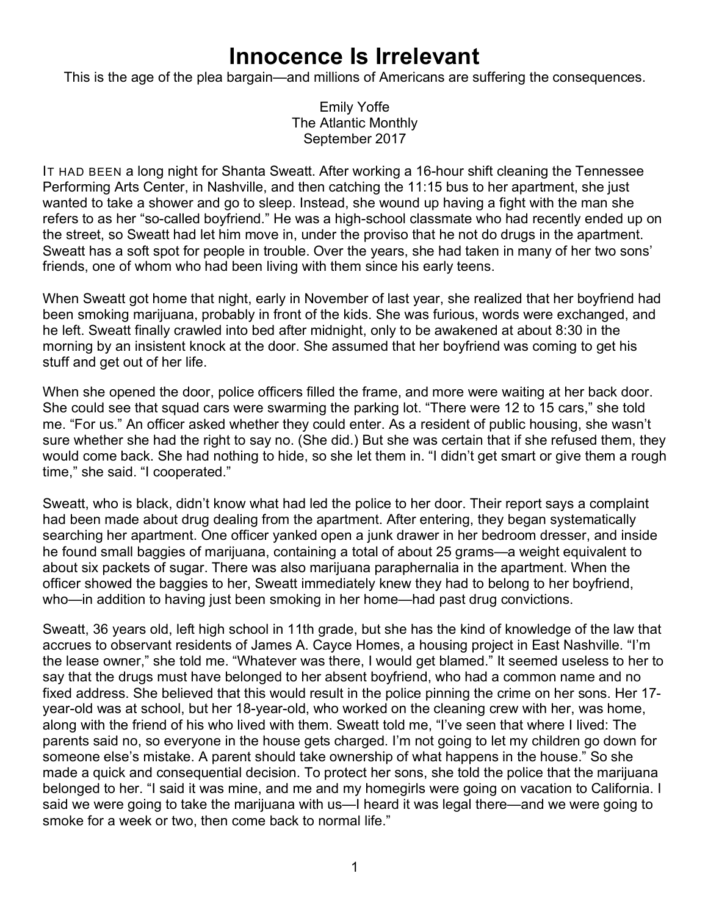## **Innocence Is Irrelevant**

This is the age of the plea bargain—and millions of Americans are suffering the consequences.

Emily Yoffe The Atlantic Monthly September 2017

IT HAD BEEN a long night for Shanta Sweatt. After working a 16-hour shift cleaning the Tennessee Performing Arts Center, in Nashville, and then catching the 11:15 bus to her apartment, she just wanted to take a shower and go to sleep. Instead, she wound up having a fight with the man she refers to as her "so-called boyfriend." He was a high-school classmate who had recently ended up on the street, so Sweatt had let him move in, under the proviso that he not do drugs in the apartment. Sweatt has a soft spot for people in trouble. Over the years, she had taken in many of her two sons' friends, one of whom who had been living with them since his early teens.

When Sweatt got home that night, early in November of last year, she realized that her boyfriend had been smoking marijuana, probably in front of the kids. She was furious, words were exchanged, and he left. Sweatt finally crawled into bed after midnight, only to be awakened at about 8:30 in the morning by an insistent knock at the door. She assumed that her boyfriend was coming to get his stuff and get out of her life.

When she opened the door, police officers filled the frame, and more were waiting at her back door. She could see that squad cars were swarming the parking lot. "There were 12 to 15 cars," she told me. "For us." An officer asked whether they could enter. As a resident of public housing, she wasn't sure whether she had the right to say no. (She did.) But she was certain that if she refused them, they would come back. She had nothing to hide, so she let them in. "I didn't get smart or give them a rough time," she said. "I cooperated."

Sweatt, who is black, didn't know what had led the police to her door. Their report says a complaint had been made about drug dealing from the apartment. After entering, they began systematically searching her apartment. One officer yanked open a junk drawer in her bedroom dresser, and inside he found small baggies of marijuana, containing a total of about 25 grams—a weight equivalent to about six packets of sugar. There was also marijuana paraphernalia in the apartment. When the officer showed the baggies to her, Sweatt immediately knew they had to belong to her boyfriend, who—in addition to having just been smoking in her home—had past drug convictions.

Sweatt, 36 years old, left high school in 11th grade, but she has the kind of knowledge of the law that accrues to observant residents of James A. Cayce Homes, a housing project in East Nashville. "I'm the lease owner," she told me. "Whatever was there, I would get blamed." It seemed useless to her to say that the drugs must have belonged to her absent boyfriend, who had a common name and no fixed address. She believed that this would result in the police pinning the crime on her sons. Her 17 year-old was at school, but her 18-year-old, who worked on the cleaning crew with her, was home, along with the friend of his who lived with them. Sweatt told me, "I've seen that where I lived: The parents said no, so everyone in the house gets charged. I'm not going to let my children go down for someone else's mistake. A parent should take ownership of what happens in the house." So she made a quick and consequential decision. To protect her sons, she told the police that the marijuana belonged to her. "I said it was mine, and me and my homegirls were going on vacation to California. I said we were going to take the marijuana with us—I heard it was legal there—and we were going to smoke for a week or two, then come back to normal life."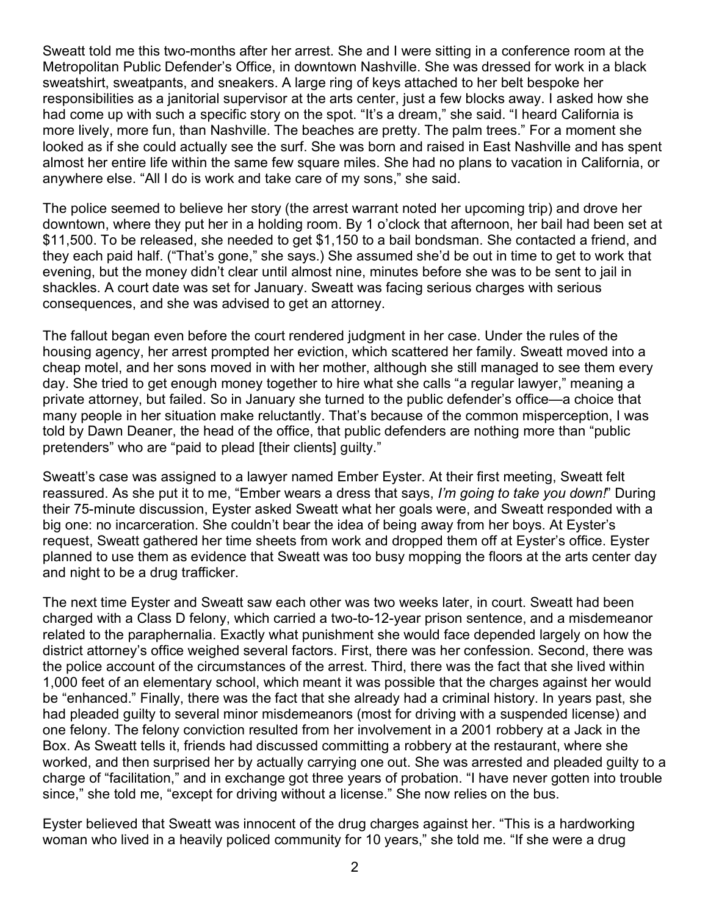Sweatt told me this two-months after her arrest. She and I were sitting in a conference room at the Metropolitan Public Defender's Office, in downtown Nashville. She was dressed for work in a black sweatshirt, sweatpants, and sneakers. A large ring of keys attached to her belt bespoke her responsibilities as a janitorial supervisor at the arts center, just a few blocks away. I asked how she had come up with such a specific story on the spot. "It's a dream," she said. "I heard California is more lively, more fun, than Nashville. The beaches are pretty. The palm trees." For a moment she looked as if she could actually see the surf. She was born and raised in East Nashville and has spent almost her entire life within the same few square miles. She had no plans to vacation in California, or anywhere else. "All I do is work and take care of my sons," she said.

The police seemed to believe her story (the arrest warrant noted her upcoming trip) and drove her downtown, where they put her in a holding room. By 1 o'clock that afternoon, her bail had been set at \$11,500. To be released, she needed to get \$1,150 to a bail bondsman. She contacted a friend, and they each paid half. ("That's gone," she says.) She assumed she'd be out in time to get to work that evening, but the money didn't clear until almost nine, minutes before she was to be sent to jail in shackles. A court date was set for January. Sweatt was facing serious charges with serious consequences, and she was advised to get an attorney.

The fallout began even before the court rendered judgment in her case. Under the rules of the housing agency, her arrest prompted her eviction, which scattered her family. Sweatt moved into a cheap motel, and her sons moved in with her mother, although she still managed to see them every day. She tried to get enough money together to hire what she calls "a regular lawyer," meaning a private attorney, but failed. So in January she turned to the public defender's office—a choice that many people in her situation make reluctantly. That's because of the common misperception, I was told by Dawn Deaner, the head of the office, that public defenders are nothing more than "public pretenders" who are "paid to plead [their clients] guilty."

Sweatt's case was assigned to a lawyer named Ember Eyster. At their first meeting, Sweatt felt reassured. As she put it to me, "Ember wears a dress that says, *I'm going to take you down!*" During their 75-minute discussion, Eyster asked Sweatt what her goals were, and Sweatt responded with a big one: no incarceration. She couldn't bear the idea of being away from her boys. At Eyster's request, Sweatt gathered her time sheets from work and dropped them off at Eyster's office. Eyster planned to use them as evidence that Sweatt was too busy mopping the floors at the arts center day and night to be a drug trafficker.

The next time Eyster and Sweatt saw each other was two weeks later, in court. Sweatt had been charged with a Class D felony, which carried a two-to-12-year prison sentence, and a misdemeanor related to the paraphernalia. Exactly what punishment she would face depended largely on how the district attorney's office weighed several factors. First, there was her confession. Second, there was the police account of the circumstances of the arrest. Third, there was the fact that she lived within 1,000 feet of an elementary school, which meant it was possible that the charges against her would be "enhanced." Finally, there was the fact that she already had a criminal history. In years past, she had pleaded guilty to several minor misdemeanors (most for driving with a suspended license) and one felony. The felony conviction resulted from her involvement in a 2001 robbery at a Jack in the Box. As Sweatt tells it, friends had discussed committing a robbery at the restaurant, where she worked, and then surprised her by actually carrying one out. She was arrested and pleaded guilty to a charge of "facilitation," and in exchange got three years of probation. "I have never gotten into trouble since," she told me, "except for driving without a license." She now relies on the bus.

Eyster believed that Sweatt was innocent of the drug charges against her. "This is a hardworking woman who lived in a heavily policed community for 10 years," she told me. "If she were a drug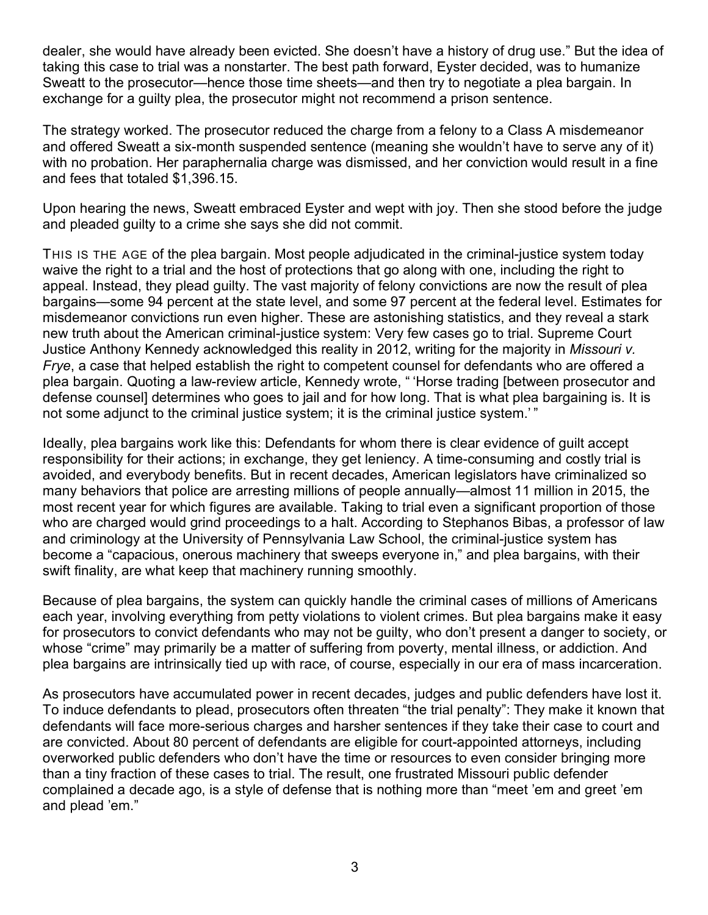dealer, she would have already been evicted. She doesn't have a history of drug use." But the idea of taking this case to trial was a nonstarter. The best path forward, Eyster decided, was to humanize Sweatt to the prosecutor—hence those time sheets—and then try to negotiate a plea bargain. In exchange for a guilty plea, the prosecutor might not recommend a prison sentence.

The strategy worked. The prosecutor reduced the charge from a felony to a Class A misdemeanor and offered Sweatt a six-month suspended sentence (meaning she wouldn't have to serve any of it) with no probation. Her paraphernalia charge was dismissed, and her conviction would result in a fine and fees that totaled \$1,396.15.

Upon hearing the news, Sweatt embraced Eyster and wept with joy. Then she stood before the judge and pleaded guilty to a crime she says she did not commit.

THIS IS THE AGE of the plea bargain. Most people adjudicated in the criminal-justice system today waive the right to a trial and the host of protections that go along with one, including the right to appeal. Instead, they plead guilty. The vast majority of felony convictions are now the result of plea bargains—some 94 percent at the state level, and some 97 percent at the federal level. Estimates for misdemeanor convictions run even higher. These are astonishing statistics, and they reveal a stark new truth about the American criminal-justice system: Very few cases go to trial. Supreme Court Justice Anthony Kennedy acknowledged this reality in 2012, writing for the majority in *Missouri v. Frye*, a case that helped establish the right to competent counsel for defendants who are offered a plea bargain. Quoting a law-review article, Kennedy wrote, " 'Horse trading [between prosecutor and defense counsel] determines who goes to jail and for how long. That is what plea bargaining is. It is not some adjunct to the criminal justice system; it is the criminal justice system.' "

Ideally, plea bargains work like this: Defendants for whom there is clear evidence of guilt accept responsibility for their actions; in exchange, they get leniency. A time-consuming and costly trial is avoided, and everybody benefits. But in recent decades, American legislators have criminalized so many behaviors that police are arresting millions of people annually—almost 11 million in 2015, the most recent year for which figures are available. Taking to trial even a significant proportion of those who are charged would grind proceedings to a halt. According to Stephanos Bibas, a professor of law and criminology at the University of Pennsylvania Law School, the criminal-justice system has become a "capacious, onerous machinery that sweeps everyone in," and plea bargains, with their swift finality, are what keep that machinery running smoothly.

Because of plea bargains, the system can quickly handle the criminal cases of millions of Americans each year, involving everything from petty violations to violent crimes. But plea bargains make it easy for prosecutors to convict defendants who may not be guilty, who don't present a danger to society, or whose "crime" may primarily be a matter of suffering from poverty, mental illness, or addiction. And plea bargains are intrinsically tied up with race, of course, especially in our era of mass incarceration.

As prosecutors have accumulated power in recent decades, judges and public defenders have lost it. To induce defendants to plead, prosecutors often threaten "the trial penalty": They make it known that defendants will face more-serious charges and harsher sentences if they take their case to court and are convicted. About 80 percent of defendants are eligible for court-appointed attorneys, including overworked public defenders who don't have the time or resources to even consider bringing more than a tiny fraction of these cases to trial. The result, one frustrated Missouri public defender complained a decade ago, is a style of defense that is nothing more than "meet 'em and greet 'em and plead 'em."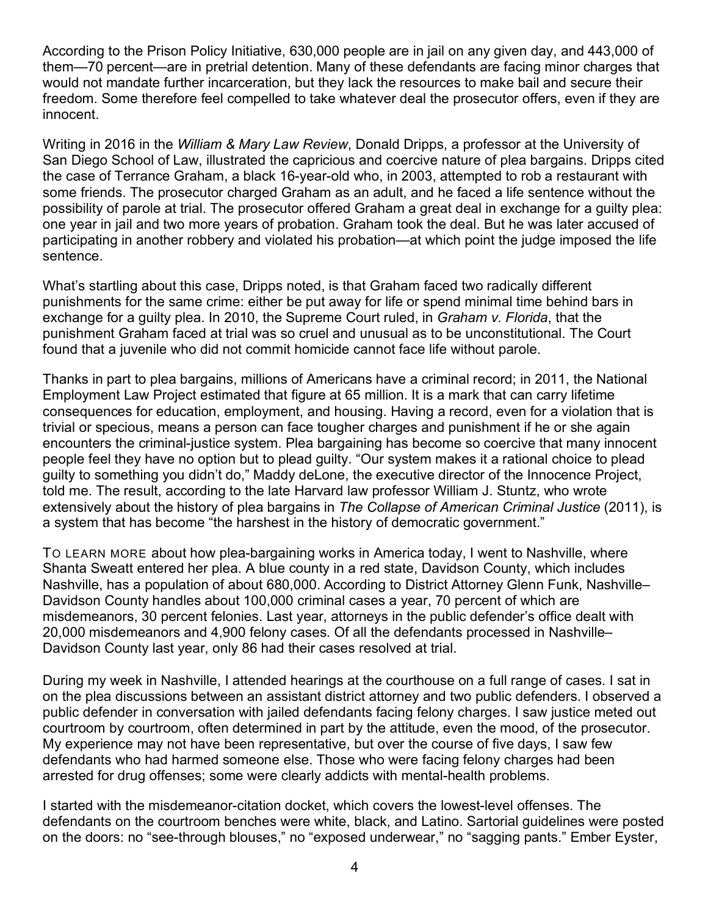According to the Prison Policy Initiative, 630,000 people are in jail on any given day, and 443,000 of them—70 percent—are in pretrial detention. Many of these defendants are facing minor charges that would not mandate further incarceration, but they lack the resources to make bail and secure their freedom. Some therefore feel compelled to take whatever deal the prosecutor offers, even if they are innocent.

Writing in 2016 in the *William & Mary Law Review*, Donald Dripps, a professor at the University of San Diego School of Law, illustrated the capricious and coercive nature of plea bargains. Dripps cited the case of Terrance Graham, a black 16-year-old who, in 2003, attempted to rob a restaurant with some friends. The prosecutor charged Graham as an adult, and he faced a life sentence without the possibility of parole at trial. The prosecutor offered Graham a great deal in exchange for a guilty plea: one year in jail and two more years of probation. Graham took the deal. But he was later accused of participating in another robbery and violated his probation—at which point the judge imposed the life sentence.

What's startling about this case, Dripps noted, is that Graham faced two radically different punishments for the same crime: either be put away for life or spend minimal time behind bars in exchange for a guilty plea. In 2010, the Supreme Court ruled, in *Graham v. Florida*, that the punishment Graham faced at trial was so cruel and unusual as to be unconstitutional. The Court found that a juvenile who did not commit homicide cannot face life without parole.

Thanks in part to plea bargains, millions of Americans have a criminal record; in 2011, the National Employment Law Project estimated that figure at 65 million. It is a mark that can carry lifetime consequences for education, employment, and housing. Having a record, even for a violation that is trivial or specious, means a person can face tougher charges and punishment if he or she again encounters the criminal-justice system. Plea bargaining has become so coercive that many innocent people feel they have no option but to plead guilty. "Our system makes it a rational choice to plead guilty to something you didn't do," Maddy deLone, the executive director of the Innocence Project, told me. The result, according to the late Harvard law professor William J. Stuntz, who wrote extensively about the history of plea bargains in *The Collapse of American Criminal Justice* (2011), is a system that has become "the harshest in the history of democratic government."

TO LEARN MORE about how plea-bargaining works in America today, I went to Nashville, where Shanta Sweatt entered her plea. A blue county in a red state, Davidson County, which includes Nashville, has a population of about 680,000. According to District Attorney Glenn Funk, Nashville– Davidson County handles about 100,000 criminal cases a year, 70 percent of which are misdemeanors, 30 percent felonies. Last year, attorneys in the public defender's office dealt with 20,000 misdemeanors and 4,900 felony cases. Of all the defendants processed in Nashville– Davidson County last year, only 86 had their cases resolved at trial.

During my week in Nashville, I attended hearings at the courthouse on a full range of cases. I sat in on the plea discussions between an assistant district attorney and two public defenders. I observed a public defender in conversation with jailed defendants facing felony charges. I saw justice meted out courtroom by courtroom, often determined in part by the attitude, even the mood, of the prosecutor. My experience may not have been representative, but over the course of five days, I saw few defendants who had harmed someone else. Those who were facing felony charges had been arrested for drug offenses; some were clearly addicts with mental-health problems.

I started with the misdemeanor-citation docket, which covers the lowest-level offenses. The defendants on the courtroom benches were white, black, and Latino. Sartorial guidelines were posted on the doors: no "see-through blouses," no "exposed underwear," no "sagging pants." Ember Eyster,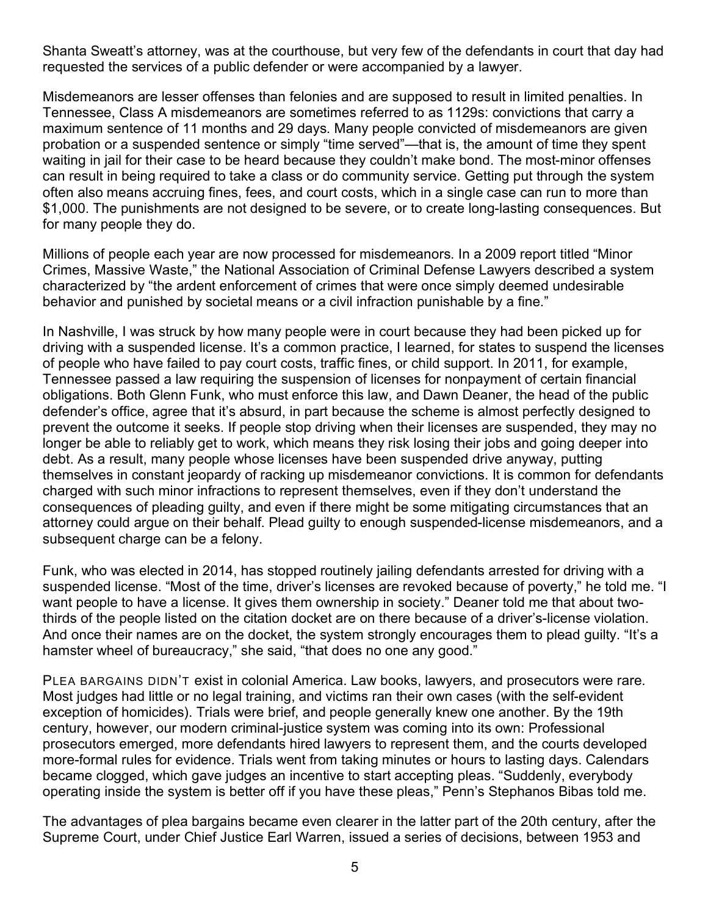Shanta Sweatt's attorney, was at the courthouse, but very few of the defendants in court that day had requested the services of a public defender or were accompanied by a lawyer.

Misdemeanors are lesser offenses than felonies and are supposed to result in limited penalties. In Tennessee, Class A misdemeanors are sometimes referred to as 1129s: convictions that carry a maximum sentence of 11 months and 29 days. Many people convicted of misdemeanors are given probation or a suspended sentence or simply "time served"—that is, the amount of time they spent waiting in jail for their case to be heard because they couldn't make bond. The most-minor offenses can result in being required to take a class or do community service. Getting put through the system often also means accruing fines, fees, and court costs, which in a single case can run to more than \$1,000. The punishments are not designed to be severe, or to create long-lasting consequences. But for many people they do.

Millions of people each year are now processed for misdemeanors. In a 2009 report titled "Minor Crimes, Massive Waste," the National Association of Criminal Defense Lawyers described a system characterized by "the ardent enforcement of crimes that were once simply deemed undesirable behavior and punished by societal means or a civil infraction punishable by a fine."

In Nashville, I was struck by how many people were in court because they had been picked up for driving with a suspended license. It's a common practice, I learned, for states to suspend the licenses of people who have failed to pay court costs, traffic fines, or child support. In 2011, for example, Tennessee passed a law requiring the suspension of licenses for nonpayment of certain financial obligations. Both Glenn Funk, who must enforce this law, and Dawn Deaner, the head of the public defender's office, agree that it's absurd, in part because the scheme is almost perfectly designed to prevent the outcome it seeks. If people stop driving when their licenses are suspended, they may no longer be able to reliably get to work, which means they risk losing their jobs and going deeper into debt. As a result, many people whose licenses have been suspended drive anyway, putting themselves in constant jeopardy of racking up misdemeanor convictions. It is common for defendants charged with such minor infractions to represent themselves, even if they don't understand the consequences of pleading guilty, and even if there might be some mitigating circumstances that an attorney could argue on their behalf. Plead guilty to enough suspended-license misdemeanors, and a subsequent charge can be a felony.

Funk, who was elected in 2014, has stopped routinely jailing defendants arrested for driving with a suspended license. "Most of the time, driver's licenses are revoked because of poverty," he told me. "I want people to have a license. It gives them ownership in society." Deaner told me that about twothirds of the people listed on the citation docket are on there because of a driver's-license violation. And once their names are on the docket, the system strongly encourages them to plead guilty. "It's a hamster wheel of bureaucracy," she said, "that does no one any good."

PLEA BARGAINS DIDN'T exist in colonial America. Law books, lawyers, and prosecutors were rare. Most judges had little or no legal training, and victims ran their own cases (with the self-evident exception of homicides). Trials were brief, and people generally knew one another. By the 19th century, however, our modern criminal-justice system was coming into its own: Professional prosecutors emerged, more defendants hired lawyers to represent them, and the courts developed more-formal rules for evidence. Trials went from taking minutes or hours to lasting days. Calendars became clogged, which gave judges an incentive to start accepting pleas. "Suddenly, everybody operating inside the system is better off if you have these pleas," Penn's Stephanos Bibas told me.

The advantages of plea bargains became even clearer in the latter part of the 20th century, after the Supreme Court, under Chief Justice Earl Warren, issued a series of decisions, between 1953 and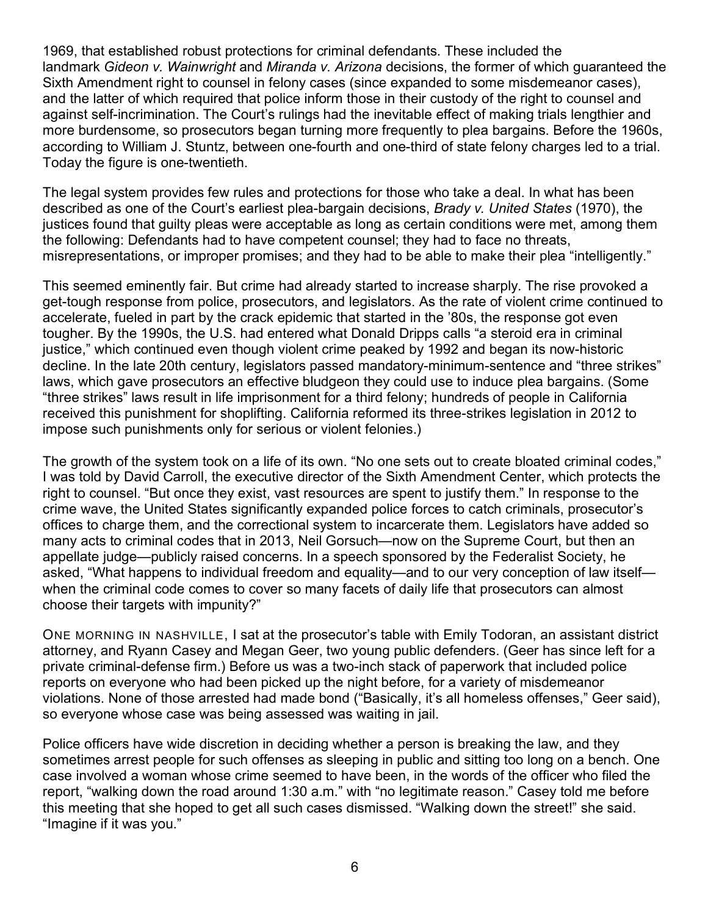1969, that established robust protections for criminal defendants. These included the landmark *Gideon v. Wainwright* and *Miranda v. Arizona* decisions, the former of which guaranteed the Sixth Amendment right to counsel in felony cases (since expanded to some misdemeanor cases), and the latter of which required that police inform those in their custody of the right to counsel and against self-incrimination. The Court's rulings had the inevitable effect of making trials lengthier and more burdensome, so prosecutors began turning more frequently to plea bargains. Before the 1960s, according to William J. Stuntz, between one-fourth and one-third of state felony charges led to a trial. Today the figure is one-twentieth.

The legal system provides few rules and protections for those who take a deal. In what has been described as one of the Court's earliest plea-bargain decisions, *Brady v. United States* (1970), the justices found that guilty pleas were acceptable as long as certain conditions were met, among them the following: Defendants had to have competent counsel; they had to face no threats, misrepresentations, or improper promises; and they had to be able to make their plea "intelligently."

This seemed eminently fair. But crime had already started to increase sharply. The rise provoked a get-tough response from police, prosecutors, and legislators. As the rate of violent crime continued to accelerate, fueled in part by the crack epidemic that started in the '80s, the response got even tougher. By the 1990s, the U.S. had entered what Donald Dripps calls "a steroid era in criminal justice," which continued even though violent crime peaked by 1992 and began its now-historic decline. In the late 20th century, legislators passed mandatory-minimum-sentence and "three strikes" laws, which gave prosecutors an effective bludgeon they could use to induce plea bargains. (Some "three strikes" laws result in life imprisonment for a third felony; hundreds of people in California received this punishment for shoplifting. California reformed its three-strikes legislation in 2012 to impose such punishments only for serious or violent felonies.)

The growth of the system took on a life of its own. "No one sets out to create bloated criminal codes," I was told by David Carroll, the executive director of the Sixth Amendment Center, which protects the right to counsel. "But once they exist, vast resources are spent to justify them." In response to the crime wave, the United States significantly expanded police forces to catch criminals, prosecutor's offices to charge them, and the correctional system to incarcerate them. Legislators have added so many acts to criminal codes that in 2013, Neil Gorsuch—now on the Supreme Court, but then an appellate judge—publicly raised concerns. In a speech sponsored by the Federalist Society, he asked, "What happens to individual freedom and equality—and to our very conception of law itself when the criminal code comes to cover so many facets of daily life that prosecutors can almost choose their targets with impunity?"

ONE MORNING IN NASHVILLE, I sat at the prosecutor's table with Emily Todoran, an assistant district attorney, and Ryann Casey and Megan Geer, two young public defenders. (Geer has since left for a private criminal-defense firm.) Before us was a two-inch stack of paperwork that included police reports on everyone who had been picked up the night before, for a variety of misdemeanor violations. None of those arrested had made bond ("Basically, it's all homeless offenses," Geer said), so everyone whose case was being assessed was waiting in jail.

Police officers have wide discretion in deciding whether a person is breaking the law, and they sometimes arrest people for such offenses as sleeping in public and sitting too long on a bench. One case involved a woman whose crime seemed to have been, in the words of the officer who filed the report, "walking down the road around 1:30 a.m." with "no legitimate reason." Casey told me before this meeting that she hoped to get all such cases dismissed. "Walking down the street!" she said. "Imagine if it was you."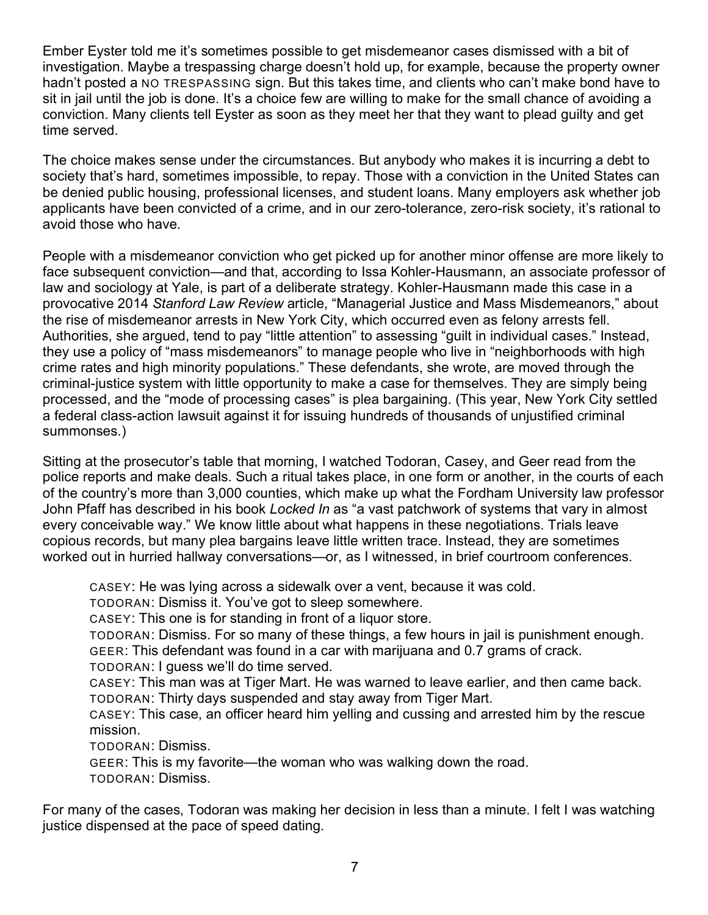Ember Eyster told me it's sometimes possible to get misdemeanor cases dismissed with a bit of investigation. Maybe a trespassing charge doesn't hold up, for example, because the property owner hadn't posted a NO TRESPASSING sign. But this takes time, and clients who can't make bond have to sit in jail until the job is done. It's a choice few are willing to make for the small chance of avoiding a conviction. Many clients tell Eyster as soon as they meet her that they want to plead guilty and get time served.

The choice makes sense under the circumstances. But anybody who makes it is incurring a debt to society that's hard, sometimes impossible, to repay. Those with a conviction in the United States can be denied public housing, professional licenses, and student loans. Many employers ask whether job applicants have been convicted of a crime, and in our zero-tolerance, zero-risk society, it's rational to avoid those who have.

People with a misdemeanor conviction who get picked up for another minor offense are more likely to face subsequent conviction—and that, according to Issa Kohler-Hausmann, an associate professor of law and sociology at Yale, is part of a deliberate strategy. Kohler-Hausmann made this case in a provocative 2014 *Stanford Law Review* article, "Managerial Justice and Mass Misdemeanors," about the rise of misdemeanor arrests in New York City, which occurred even as felony arrests fell. Authorities, she argued, tend to pay "little attention" to assessing "guilt in individual cases." Instead, they use a policy of "mass misdemeanors" to manage people who live in "neighborhoods with high crime rates and high minority populations." These defendants, she wrote, are moved through the criminal-justice system with little opportunity to make a case for themselves. They are simply being processed, and the "mode of processing cases" is plea bargaining. (This year, New York City settled a federal class-action lawsuit against it for issuing hundreds of thousands of unjustified criminal summonses.)

Sitting at the prosecutor's table that morning, I watched Todoran, Casey, and Geer read from the police reports and make deals. Such a ritual takes place, in one form or another, in the courts of each of the country's more than 3,000 counties, which make up what the Fordham University law professor John Pfaff has described in his book *Locked In* as "a vast patchwork of systems that vary in almost every conceivable way." We know little about what happens in these negotiations. Trials leave copious records, but many plea bargains leave little written trace. Instead, they are sometimes worked out in hurried hallway conversations—or, as I witnessed, in brief courtroom conferences.

CASEY: He was lying across a sidewalk over a vent, because it was cold.

TODORAN: Dismiss it. You've got to sleep somewhere.

CASEY: This one is for standing in front of a liquor store.

TODORAN: Dismiss. For so many of these things, a few hours in jail is punishment enough. GEER: This defendant was found in a car with marijuana and 0.7 grams of crack.

TODORAN: I guess we'll do time served.

CASEY: This man was at Tiger Mart. He was warned to leave earlier, and then came back. TODORAN: Thirty days suspended and stay away from Tiger Mart.

CASEY: This case, an officer heard him yelling and cussing and arrested him by the rescue mission.

TODORAN: Dismiss.

GEER: This is my favorite—the woman who was walking down the road. TODORAN: Dismiss.

For many of the cases, Todoran was making her decision in less than a minute. I felt I was watching justice dispensed at the pace of speed dating.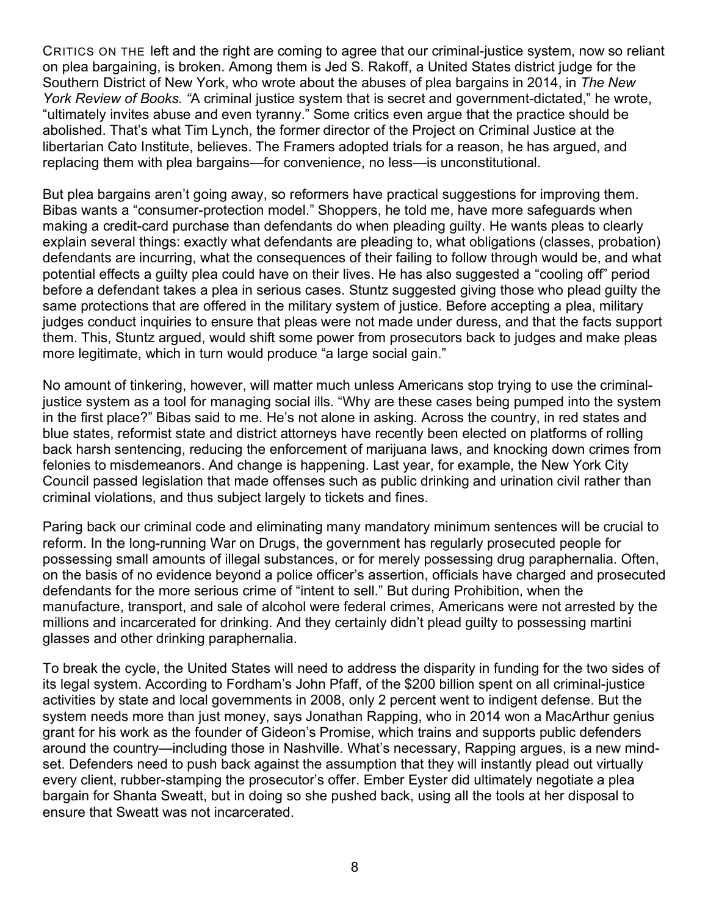CRITICS ON THE left and the right are coming to agree that our criminal-justice system, now so reliant on plea bargaining, is broken. Among them is Jed S. Rakoff, a United States district judge for the Southern District of New York, who wrote about the abuses of plea bargains in 2014, in *The New York Review of Books. "*A criminal justice system that is secret and government-dictated," he wrote, "ultimately invites abuse and even tyranny." Some critics even argue that the practice should be abolished. That's what Tim Lynch, the former director of the Project on Criminal Justice at the libertarian Cato Institute, believes. The Framers adopted trials for a reason, he has argued, and replacing them with plea bargains—for convenience, no less—is unconstitutional.

But plea bargains aren't going away, so reformers have practical suggestions for improving them. Bibas wants a "consumer-protection model." Shoppers, he told me, have more safeguards when making a credit-card purchase than defendants do when pleading guilty. He wants pleas to clearly explain several things: exactly what defendants are pleading to, what obligations (classes, probation) defendants are incurring, what the consequences of their failing to follow through would be, and what potential effects a guilty plea could have on their lives. He has also suggested a "cooling off" period before a defendant takes a plea in serious cases. Stuntz suggested giving those who plead guilty the same protections that are offered in the military system of justice. Before accepting a plea, military judges conduct inquiries to ensure that pleas were not made under duress, and that the facts support them. This, Stuntz argued, would shift some power from prosecutors back to judges and make pleas more legitimate, which in turn would produce "a large social gain."

No amount of tinkering, however, will matter much unless Americans stop trying to use the criminaljustice system as a tool for managing social ills. "Why are these cases being pumped into the system in the first place?" Bibas said to me. He's not alone in asking. Across the country, in red states and blue states, reformist state and district attorneys have recently been elected on platforms of rolling back harsh sentencing, reducing the enforcement of marijuana laws, and knocking down crimes from felonies to misdemeanors. And change is happening. Last year, for example, the New York City Council passed legislation that made offenses such as public drinking and urination civil rather than criminal violations, and thus subject largely to tickets and fines.

Paring back our criminal code and eliminating many mandatory minimum sentences will be crucial to reform. In the long-running War on Drugs, the government has regularly prosecuted people for possessing small amounts of illegal substances, or for merely possessing drug paraphernalia. Often, on the basis of no evidence beyond a police officer's assertion, officials have charged and prosecuted defendants for the more serious crime of "intent to sell." But during Prohibition, when the manufacture, transport, and sale of alcohol were federal crimes, Americans were not arrested by the millions and incarcerated for drinking. And they certainly didn't plead guilty to possessing martini glasses and other drinking paraphernalia.

To break the cycle, the United States will need to address the disparity in funding for the two sides of its legal system. According to Fordham's John Pfaff, of the \$200 billion spent on all criminal-justice activities by state and local governments in 2008, only 2 percent went to indigent defense. But the system needs more than just money, says Jonathan Rapping, who in 2014 won a MacArthur genius grant for his work as the founder of Gideon's Promise, which trains and supports public defenders around the country—including those in Nashville. What's necessary, Rapping argues, is a new mindset. Defenders need to push back against the assumption that they will instantly plead out virtually every client, rubber-stamping the prosecutor's offer. Ember Eyster did ultimately negotiate a plea bargain for Shanta Sweatt, but in doing so she pushed back, using all the tools at her disposal to ensure that Sweatt was not incarcerated.